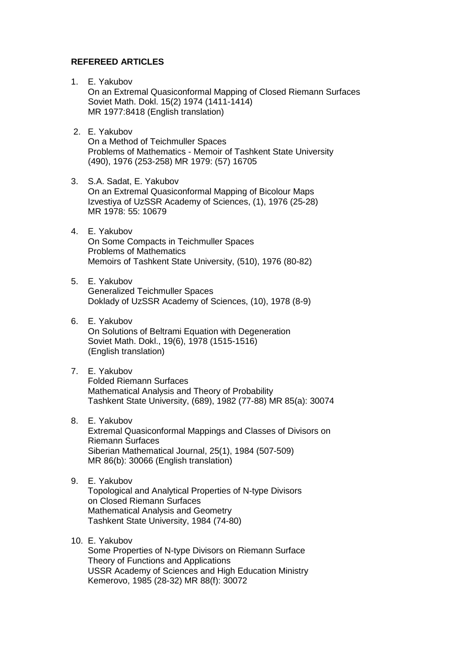## **REFEREED ARTICLES**

- 1. E. Yakubov On an Extremal Quasiconformal Mapping of Closed Riemann Surfaces Soviet Math. Dokl. 15(2) 1974 (1411-1414) MR 1977:8418 (English translation)
- 2. E. Yakubov On a Method of Teichmuller Spaces Problems of Mathematics - Memoir of Tashkent State University (490), 1976 (253-258) MR 1979: (57) 16705
- 3. S.A. Sadat, E. Yakubov On an Extremal Quasiconformal Mapping of Bicolour Maps Izvestiya of UzSSR Academy of Sciences, (1), 1976 (25-28) MR 1978: 55: 10679
- 4. E. Yakubov On Some Compacts in Teichmuller Spaces Problems of Mathematics Memoirs of Tashkent State University, (510), 1976 (80-82)
- 5. E. Yakubov Generalized Teichmuller Spaces Doklady of UzSSR Academy of Sciences, (10), 1978 (8-9)
- 6. E. Yakubov On Solutions of Beltrami Equation with Degeneration Soviet Math. Dokl., 19(6), 1978 (1515-1516) (English translation)
- 7. E. Yakubov Folded Riemann Surfaces Mathematical Analysis and Theory of Probability Tashkent State University, (689), 1982 (77-88) MR 85(a): 30074
- 8. E. Yakubov Extremal Quasiconformal Mappings and Classes of Divisors on Riemann Surfaces Siberian Mathematical Journal, 25(1), 1984 (507-509) MR 86(b): 30066 (English translation)
- 9. E. Yakubov Topological and Analytical Properties of N-type Divisors on Closed Riemann Surfaces Mathematical Analysis and Geometry Tashkent State University, 1984 (74-80)

## 10. E. Yakubov Some Properties of N-type Divisors on Riemann Surface Theory of Functions and Applications USSR Academy of Sciences and High Education Ministry Kemerovo, 1985 (28-32) MR 88(f): 30072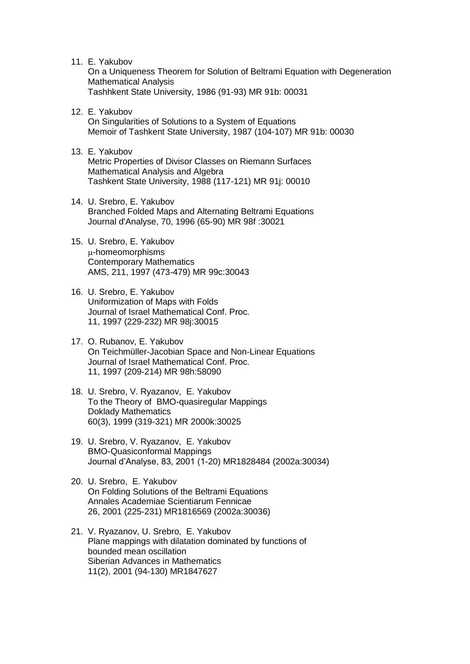11. E. Yakubov

 On a Uniqueness Theorem for Solution of Beltrami Equation with Degeneration Mathematical Analysis Tashhkent State University, 1986 (91-93) MR 91b: 00031

- 12. E. Yakubov On Singularities of Solutions to a System of Equations Memoir of Tashkent State University, 1987 (104-107) MR 91b: 00030
- 13. E. Yakubov Metric Properties of Divisor Classes on Riemann Surfaces Mathematical Analysis and Algebra Tashkent State University, 1988 (117-121) MR 91j: 00010
- 14. U. Srebro, E. Yakubov Branched Folded Maps and Alternating Beltrami Equations Journal d'Analyse, 70, 1996 (65-90) MR 98f :30021
- 15. U. Srebro, E. Yakubov u-homeomorphisms Contemporary Mathematics AMS, 211, 1997 (473-479) MR 99c:30043
- 16. U. Srebro, E. Yakubov Uniformization of Maps with Folds Journal of Israel Mathematical Conf. Proc. 11, 1997 (229-232) MR 98j:30015
- 17. O. Rubanov, E. Yakubov On Teichmüller-Jacobian Space and Non-Linear Equations Journal of Israel Mathematical Conf. Proc. 11, 1997 (209-214) MR 98h:58090
- 18. U. Srebro, V. Ryazanov, E. Yakubov To the Theory of BMO-quasiregular Mappings Doklady Mathematics 60(3), 1999 (319-321) MR 2000k:30025
- 19. U. Srebro, V. Ryazanov, E. Yakubov BMO-Quasiconformal Mappings Journal d'Analyse, 83, 2001 (1-20) MR1828484 (2002a:30034)
- 20. U. Srebro, E. Yakubov On Folding Solutions of the Beltrami Equations Annales Academiae Scientiarum Fennicae 26, 2001 (225-231) MR1816569 (2002a:30036)
- 21. V. Ryazanov, U. Srebro, E. Yakubov Plane mappings with dilatation dominated by functions of bounded mean oscillation Siberian Advances in Mathematics 11(2), 2001 (94-130) MR1847627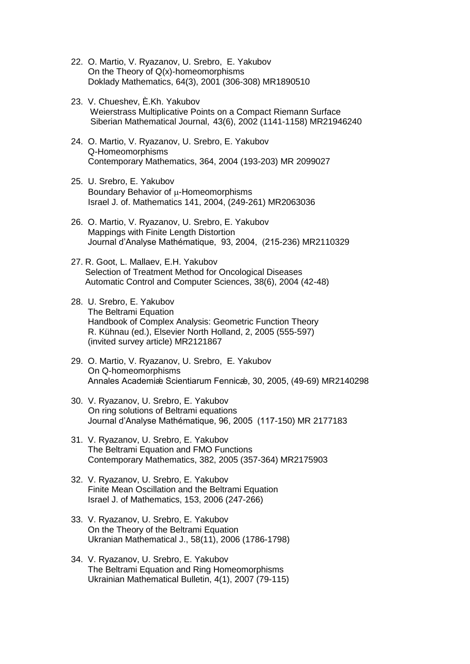- 22. O. Martio, V. Ryazanov, U. Srebro, E. Yakubov On the Theory of Q(x)-homeomorphisms Doklady Mathematics, 64(3), 2001 (306-308) MR1890510
- 23. V. Chueshev, È.Kh. Yakubov Weierstrass Multiplicative Points on a Compact Riemann Surface Siberian Mathematical Journal, 43(6), 2002 (1141-1158) MR21946240
- 24. O. Martio, V. Ryazanov, U. Srebro, E. Yakubov Q-Homeomorphisms Contemporary Mathematics, 364, 2004 (193-203) MR 2099027
- 25. U. Srebro, E. Yakubov Boundary Behavior of  $\mu$ -Homeomorphisms Israel J. of. Mathematics 141, 2004, (249-261) MR2063036
- 26. O. Martio, V. Ryazanov, U. Srebro, E. Yakubov Mappings with Finite Length Distortion Journal d'Analyse Mathématique, 93, 2004, (215-236) MR2110329
- 27. R. Goot, L. Mallaev, E.H. Yakubov Selection of Treatment Method for Oncological Diseases Automatic Control and Computer Sciences, 38(6), 2004 (42-48)
- 28. U. Srebro, E. Yakubov The Beltrami Equation Handbook of Complex Analysis: Geometric Function Theory R. Kühnau (ed.), Elsevier North Holland, 2, 2005 (555-597) (invited survey article) MR2121867
- 29. O. Martio, V. Ryazanov, U. Srebro, E. Yakubov On Q-homeomorphisms Annales Academiǽ Scientiarum Fennicǽ, 30, 2005, (49-69) MR2140298
- 30. V. Ryazanov, U. Srebro, E. Yakubov On ring solutions of Beltrami equations Journal d'Analyse Mathématique, 96, 2005 (117-150) MR 2177183
- 31. V. Ryazanov, U. Srebro, E. Yakubov The Beltrami Equation and FMO Functions Contemporary Mathematics, 382, 2005 (357-364) MR2175903
- 32. V. Ryazanov, U. Srebro, E. Yakubov Finite Mean Oscillation and the Beltrami Equation Israel J. of Mathematics, 153, 2006 (247-266)
- 33. V. Ryazanov, U. Srebro, E. Yakubov On the Theory of the Beltrami Equation Ukranian Mathematical J., 58(11), 2006 (1786-1798)
- 34. V. Ryazanov, U. Srebro, E. Yakubov The Beltrami Equation and Ring Homeomorphisms Ukrainian Mathematical Bulletin, 4(1), 2007 (79-115)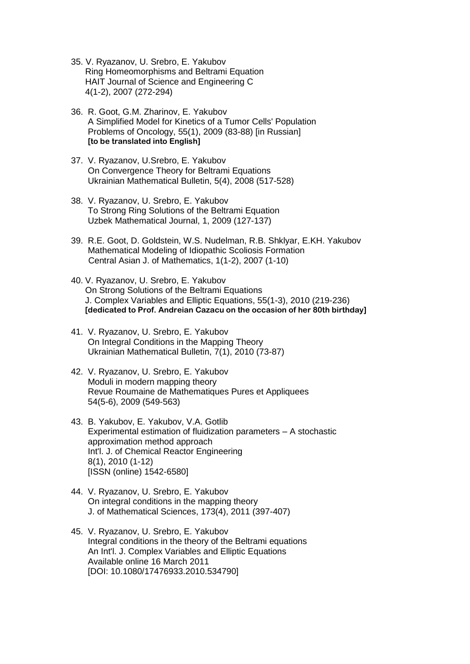- 35. V. Ryazanov, U. Srebro, E. Yakubov Ring Homeomorphisms and Beltrami Equation HAIT Journal of Science and Engineering C 4(1-2), 2007 (272-294)
- 36. R. Goot, G.M. Zharinov, E. Yakubov A Simplified Model for Kinetics of a Tumor Cells' Population Problems of Oncology, 55(1), 2009 (83-88) [in Russian] **[to be translated into English]**
- 37. V. Ryazanov, U.Srebro, E. Yakubov On Convergence Theory for Beltrami Equations Ukrainian Mathematical Bulletin, 5(4), 2008 (517-528)
- 38. V. Ryazanov, U. Srebro, E. Yakubov To Strong Ring Solutions of the Beltrami Equation Uzbek Mathematical Journal, 1, 2009 (127-137)
- 39. R.E. Goot, D. Goldstein, W.S. Nudelman, R.B. Shklyar, E.KH. Yakubov Mathematical Modeling of Idiopathic Scoliosis Formation Central Asian J. of Mathematics, 1(1-2), 2007 (1-10)
- 40. V. Ryazanov, U. Srebro, E. Yakubov On Strong Solutions of the Beltrami Equations J. Complex Variables and Elliptic Equations, 55(1-3), 2010 (219-236) **[dedicated to Prof. Andreian Cazacu on the occasion of her 80th birthday]**
- 41. V. Ryazanov, U. Srebro, E. Yakubov On Integral Conditions in the Mapping Theory Ukrainian Mathematical Bulletin, 7(1), 2010 (73-87)
- 42. V. Ryazanov, U. Srebro, E. Yakubov Moduli in modern mapping theory Revue Roumaine de Mathematiques Pures et Appliquees 54(5-6), 2009 (549-563)
- 43. B. Yakubov, E. Yakubov, V.A. Gotlib Experimental estimation of fluidization parameters – A stochastic approximation method approach Int'l. J. of Chemical Reactor Engineering 8(1), 2010 (1-12) [ISSN (online) 1542-6580]
- 44. V. Ryazanov, U. Srebro, E. Yakubov On integral conditions in the mapping theory J. of Mathematical Sciences, 173(4), 2011 (397-407)
- 45. V. Ryazanov, U. Srebro, E. Yakubov Integral conditions in the theory of the Beltrami equations An Int'l. J. Complex Variables and Elliptic Equations Available online 16 March 2011 [DOI: 10.1080/17476933.2010.534790]